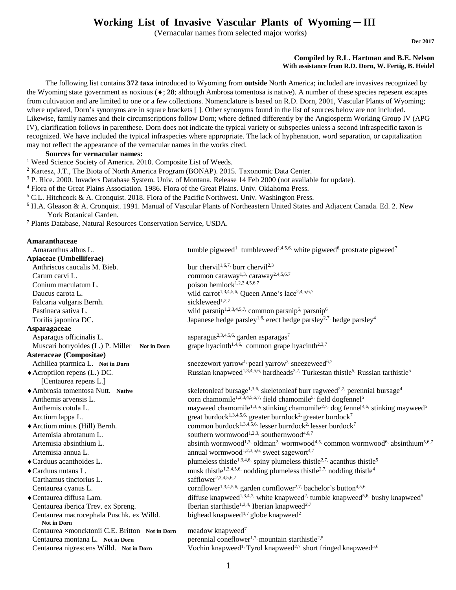# **Working List of Invasive Vascular Plants of Wyoming ─ III**

(Vernacular names from selected major works)

**Dec 2017**

#### **Compiled by R.L. Hartman and B.E. Nelson With assistance from R.D. Dorn, W. Fertig, B. Heidel**

 The following list contains **372 taxa** introduced to Wyoming from **outside** North America; included are invasives recognized by the Wyoming state government as noxious ( $\bullet$ ; 28; although Ambrosa tomentosa is native). A number of these species repesent escapes from cultivation and are limited to one or a few collections. Nomenclature is based on R.D. Dorn, 2001, Vascular Plants of Wyoming; where updated, Dorn's synonyms are in square brackets [ ]. Other synonyms found in the list of sources below are not included. Likewise, family names and their circumscriptions follow Dorn; where defined differently by the Angiosperm Working Group IV (APG IV), clarification follows in parenthese. Dorn does not indicate the typical variety or subspecies unless a second infraspecific taxon is recognized. We have included the typical infraspecies where appropriate. The lack of hyphenation, word separation, or capitalization may not reflect the appearance of the vernacular names in the works cited.

#### **Sources for vernacular names:**

<sup>1</sup> Weed Science Society of America. 2010. Composite List of Weeds.

- <sup>2</sup> Kartesz, J.T., The Biota of North America Program (BONAP). 2015. Taxonomic Data Center.
- <sup>3</sup> P. Rice. 2000. Invaders Database System. Univ. of Montana. Release 14 Feb 2000 (not available for update).
- <sup>4</sup> Flora of the Great Plains Association. 1986. Flora of the Great Plains. Univ. Oklahoma Press.
- <sup>5</sup> C.L. Hitchcock & A. Cronquist. 2018. Flora of the Pacific Northwest. Univ. Washington Press.
- <sup>6</sup> H.A. Gleason & A. Cronquist. 1991. Manual of Vascular Plants of Northeastern United States and Adjacent Canada. Ed. 2. New York Botanical Garden.

<sup>7</sup> Plants Database, Natural Resources Conservation Service, USDA.

| Amaranthaceae                                  |                                                                                                                                          |
|------------------------------------------------|------------------------------------------------------------------------------------------------------------------------------------------|
| Amaranthus albus L.                            | tumble pigweed <sup>1,</sup> tumbleweed <sup>2,4,5,6</sup> , white pigweed <sup>6,</sup> prostrate pigweed <sup>7</sup>                  |
| Apiaceae (Umbelliferae)                        |                                                                                                                                          |
| Anthriscus caucalis M. Bieb.                   | bur chervil <sup>1,6,7,</sup> burr chervil <sup>2,3</sup>                                                                                |
| Carum carvi L.                                 | common caraway <sup>1,3,</sup> caraway <sup>2,4,5,6,7</sup>                                                                              |
| Conium maculatum L.                            | poison hemlock <sup>1,2,3,4,5,6,7</sup>                                                                                                  |
| Daucus carota L.                               | wild carrot <sup>1,3,4,5,6,</sup> Queen Anne's lace <sup>2,4,5,6,7</sup>                                                                 |
| Falcaria vulgaris Bernh.                       | sickleweed <sup>1,2,7</sup>                                                                                                              |
| Pastinaca sativa L.                            | wild parsnip <sup>1,2,3,4,5,7,</sup> common parsnip <sup>5,</sup> parsnip <sup>6</sup>                                                   |
| Torilis japonica DC.                           | Japanese hedge parsley <sup>1,6,</sup> erect hedge parsley <sup>2,7,</sup> hedge parsley <sup>4</sup>                                    |
| Asparagaceae                                   |                                                                                                                                          |
| Asparagus officinalis L.                       | asparagus <sup>2,3,4,5,6,</sup> garden asparagas <sup>7</sup>                                                                            |
| Muscari botryoides (L.) P. Miller Not in Dorn  | grape hyacinth <sup>1,4,6,</sup> common grape hyacinth <sup>2,3,7</sup>                                                                  |
| Asteraceae (Compositae)                        |                                                                                                                                          |
| Achillea ptarmica L. Not in Dorn               | sneezewort yarrow <sup>1,</sup> pearl yarrow <sup>2,</sup> sneezeweed <sup>6,7</sup>                                                     |
| $\triangle$ Acroptilon repens (L.) DC.         | Russian knapweed <sup>1,3,4,5,6,</sup> hardheads <sup>2,7,</sup> Turkestan thistle <sup>5</sup> , Russian tarthistle <sup>5</sup>        |
| [Centaurea repens L.]                          |                                                                                                                                          |
| ◆ Ambrosia tomentosa Nutt. Native              | skeletonleaf bursage <sup>1,3,6,</sup> skeletonleaf burr ragweed <sup>2,7,</sup> perennial bursage <sup>4</sup>                          |
| Anthemis arvensis L.                           | corn chamomile <sup>1,2,3,4,5,6,7,</sup> field chamomile <sup>5,</sup> field dogfennel <sup>5</sup>                                      |
| Anthemis cotula L.                             | mayweed chamomile <sup>1,3,5,</sup> stinking chamomile <sup>2,7,</sup> dog fennel <sup>4,6,</sup> stinking mayweed <sup>5</sup>          |
| Arctium lappa L.                               | great burdock <sup>1,3,4,5,6</sup> , greater burrdock <sup>2</sup> , greater burdock <sup>7</sup>                                        |
| ◆ Arctium minus (Hill) Bernh.                  | common burdock <sup>1,3,4,5,6,</sup> lesser burrdock <sup>2,</sup> lesser burdock <sup>7</sup>                                           |
| Artemisia abrotanum L.                         | southern wormwood <sup>1,2,3,</sup> southernwood <sup>4,6,7</sup>                                                                        |
| Artemisia absinthium L.                        | absinth wormwood <sup>1,3,</sup> oldman <sup>2,</sup> wormwood <sup>4,5,</sup> common wormwood <sup>6,</sup> absinthium <sup>5,6,7</sup> |
| Artemisia annua L.                             | annual wormwood <sup>1,2,3,5,6,</sup> sweet sagewort <sup>4,7</sup>                                                                      |
| $\triangle$ Carduus acanthoides L.             | plumeless thistle <sup>1,3,4,6</sup> , spiny plumeless thistle <sup>2,7,</sup> acanthus thistle <sup>5</sup>                             |
| ◆ Carduus nutans L.                            | musk thistle <sup>1,3,4,5,6,</sup> nodding plumeless thistle <sup>2,7,</sup> nodding thistle <sup>4</sup>                                |
| Carthamus tinctorius L.                        | safflower <sup>2,3,4,5,6,7</sup>                                                                                                         |
| Centaurea cyanus L.                            | cornflower <sup>1,3,4,5,6,</sup> garden cornflower <sup>2,7,</sup> bachelor's button <sup>4,5,6</sup>                                    |
| ◆ Centaurea diffusa Lam.                       | diffuse knapweed <sup>1,3,4,7</sup> white knapweed <sup>2,</sup> tumble knapweed <sup>5,6,</sup> bushy knapweed <sup>5</sup>             |
| Centaurea iberica Trev. ex Spreng.             | Iberian starthistle <sup>1,3,4,</sup> Iberian knapweed <sup>2,7</sup>                                                                    |
| Centaurea macrocephala Puschk. ex Willd.       | bighead knapweed <sup>1,7</sup> globe knapweed <sup>2</sup>                                                                              |
| <b>Not in Dorn</b>                             |                                                                                                                                          |
| Centaurea ×moncktonii C.E. Britton Not in Dorn | meadow knapweed <sup>7</sup>                                                                                                             |
| Centaurea montana L. Not in Dorn               | perennial coneflower <sup>1,7,</sup> mountain starthistle <sup>2,5</sup>                                                                 |
| Centaurea nigrescens Willd. Not in Dorn        | Vochin knapweed <sup>1,</sup> Tyrol knapweed <sup>2,7</sup> short fringed knapweed <sup>5,6</sup>                                        |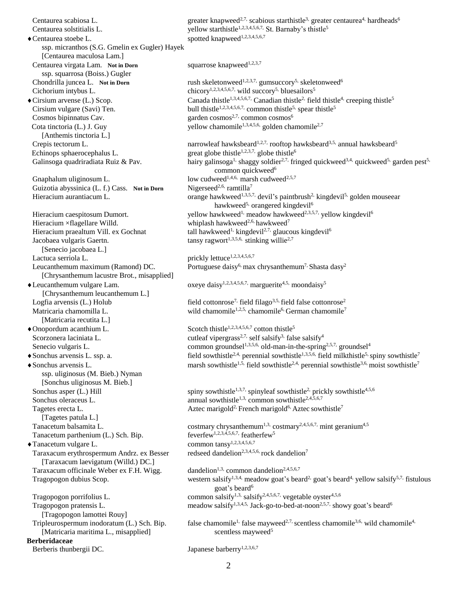Centaurea scabiosa L. greater knapweed<sup>2,7,</sup> scabious starthistle<sup>3,</sup> greater centaurea<sup>4,</sup> hardheads<sup>6</sup> Centaurea solstitialis L.  $V$  yellow starthistle<sup>1,2,3,4,5,6,7,</sup> St. Barnaby's thistle<sup>5</sup>  $\bullet$  Centaurea stoebe L. spotted knapweed<sup>1,2,3,4,5,6,7</sup> ssp. micranthos (S.G. Gmelin ex Gugler) Hayek [Centaurea maculosa Lam.] Centaurea virgata Lam. Not in Dorn squarrose knapweed<sup>1,2,3,7</sup> ssp. squarrosa (Boiss.) Gugler Chondrilla juncea L. Not in Dorn rush skeletonweed<sup>1,2,3,7,</sup> gumsuccory<sup>5,</sup> skeletonweed<sup>6</sup> Cichorium intybus L. chicory<sup>1,2,3,4,5,6,7,</sup> wild succory<sup>5,</sup> bluesailors<sup>5</sup>  $\blacklozenge$  Cirsium arvense (L.) Scop. Canada thistle<sup>1,3,4,5,6,7,</sup> Canadian thistle<sup>2,</sup> field thistle<sup>4</sup>, creeping thistle<sup>5</sup> Cirsium vulgare (Savi) Ten. bull thistle<sup>1,2,3,4,5,6,7</sup>, common thistle<sup>5,</sup> spear thistle<sup>5</sup> Cosmos bipinnatus Cav. garden cosmos<sup>2,7,</sup> common cosmos<sup>6</sup> Cota tinctoria (L.) J. Guy yellow chamomile<sup>1,3,4,5,6,</sup> golden chamomile<sup>2,7</sup> [Anthemis tinctoria L.] Crepis tectorum L. narrowleaf hawksbeard<sup>1,2,7,</sup> rooftop hawksbeard<sup>3,5,</sup> annual hawksbeard<sup>5</sup> Echinops sphaerocephalus L. great globe thistle<sup>1,2,3,7,</sup> globe thistle<sup>6</sup> Galinsoga quadriradiata Ruiz & Pav. hairy galinsoga<sup>1,</sup> shaggy soldier<sup>2,7,</sup> fringed quickweed<sup>3,4,</sup> quickweed<sup>5,</sup> garden pest<sup>5,</sup> common quickweed<sup>6</sup> Gnaphalum uliginosum L. low cudweed<sup>1,4,6,</sup> marsh cudweed<sup>2,5,7</sup> Guizotia abyssinica (L. f.) Cass. Not in Dorn Nigerseed<sup>2,6,</sup> ramtilla<sup>7</sup> Hieracium aurantiacum L. orange hawkweed<sup>1,3,5,7,</sup> devil's paintbrush<sup>2,</sup> kingdevil<sup>5,</sup> golden mouseear hawkweed<sup>5,</sup> orangered kingdevil<sup>6</sup> Hieracium caespitosum Dumort.  $v$ ellow hawkweed<sup>1,</sup> meadow hawkweed<sup>2,3,5,7,</sup> vellow kingdevil<sup>6</sup> Hieracium ×flagellare Willd. whiplash hawkweed<sup>2,6,</sup> hawkweed<sup>7</sup> Hieracium praealtum Vill. ex Gochnat tall hawkweed<sup>1,</sup> kingdevil<sup>2,7,</sup> glaucous kingdevil<sup>6</sup> Jacobaea vulgaris Gaertn. tansy ragwort<sup>1,3,5,6,</sup> stinking willie<sup>2,7</sup> [Senecio jacobaea L.] Lactuca serriola L. prickly lettuce<sup>1,2,3,4,5,6,7</sup> Leucanthemum maximum (Ramond) DC. Portuguese daisy<sup>6,</sup> max chrysanthemum<sup>7,</sup> Shasta dasy<sup>2</sup> [Chrysanthemum lacustre Brot., misapplied] • Leucanthemum vulgare Lam.  $\alpha$  oxeye daisy<sup>1,2,3,4,5,6,7,</sup> marguerite<sup>4,5,</sup> moondaisy<sup>5</sup> [Chrysanthemum leucanthemum L.] Logfia arvensis (L.) Holub field cottonrose<sup>7,</sup> field filago<sup>3,5,</sup> field false cottonrose<sup>2</sup> Matricaria chamomilla L. wild chamomile<sup>1,2,5,</sup> chamomile<sup>6</sup>, German chamomile<sup>7</sup> [Matricaria recutita L.]  $\triangle$ Onopordum acanthium L. Scotch thistle<sup>1,2,3,4,5,6,7</sup> cotton thistle<sup>5</sup> Scorzonera laciniata L. cutleaf vipergrass<sup>2,7,</sup> self salsify<sup>3,</sup> false salsify<sup>4</sup> Senecio vulgaris L. common groundsel<sup>1,3,5,6,</sup> old-man-in-the-spring<sup>2,5,7,</sup> groundsel<sup>4</sup>  $\bullet$  Sonchus arvensis L. ssp. a. field sowthistle<sup>2,4,</sup> perennial sowthistle<sup>1,3,5,6</sup>, field milkthistle<sup>5</sup>, spiny sowthistle<sup>7</sup>  $\bullet$  Sonchus arvensis L. marsh sowthistle<sup>1,5,</sup> field sowthistle<sup>2,4,</sup> perennial sowthistle<sup>3,6,</sup> moist sowthistle<sup>7</sup> ssp. uliginosus (M. Bieb.) Nyman [Sonchus uliginosus M. Bieb.] Sonchus asper (L.) Hill spiny sowthistle<sup>1,3,7,</sup> spinyleaf sowthistle<sup>2,</sup> prickly sowthistle<sup>4,5,6</sup> Sonchus oleraceus L. annual sowthistle<sup>1,3,</sup> common sowthistle<sup>2,4,5,6,7</sup> Tagetes erecta L. Aztec marigold<sup>2</sup> French marigold<sup>6</sup> Aztec sowthistle<sup>7</sup> [Tagetes patula L.] Tanacetum balsamita L.<br>Tanacetum parthenium (L.) Sch. Bip.<br>Tanacetum parthenium (L.) Sch. Bip.<br>Tanacetum parthenium (L.) Sch. Bip.<br>Tanacetum parthenium (L.) Sch. Bip. Tanacetum parthenium (L.) Sch. Bip.  $\blacklozenge$ Tanacetum vulgare L. common tansy<sup>1,2,3,4,5,6,7</sup> Taraxacum erythrospermum Andrz. ex Besser redseed dandelion<sup>2,3,4,5,6,</sup> rock dandelion<sup>7</sup> [Taraxacum laevigatum (Willd.) DC.] Taraxacum officinale Weber ex F.H. Wigg. dandelion<sup>1,3,</sup> common dandelion<sup>2,4,5,6,7</sup> Tragopogon dubius Scop. western salsify<sup>1,3,4,</sup> meadow goat's beard<sup>2,</sup> goat's beard<sup>4,</sup> yellow salsify<sup>5,7,</sup> fistulous goat's beard<sup>6</sup> Tragopogon porrifolius L. common salsify<sup>1,3,</sup> salsify<sup>2,4,5,6,7,</sup> vegetable oyster<sup>4,5,6</sup> Tragopogon pratensis L. meadow salsify<sup>1,3,4,5,</sup> Jack-go-to-bed-at-noon<sup>2,5,7,</sup> showy goat's beard<sup>6</sup> [Tragopogon lamottei Rouy] Tripleurospermum inodoratum (L.) Sch. Bip. false chamomile<sup>1,</sup> false mayweed<sup>2,7,</sup> scentless chamomile<sup>3,6,</sup> wild chamomile<sup>4,</sup> [Matricaria maritima L., misapplied] scentless mayweed<sup>5</sup> **Berberidaceae** Berberis thunbergii DC. Japanese barberry<sup>1,2,3,6,7</sup>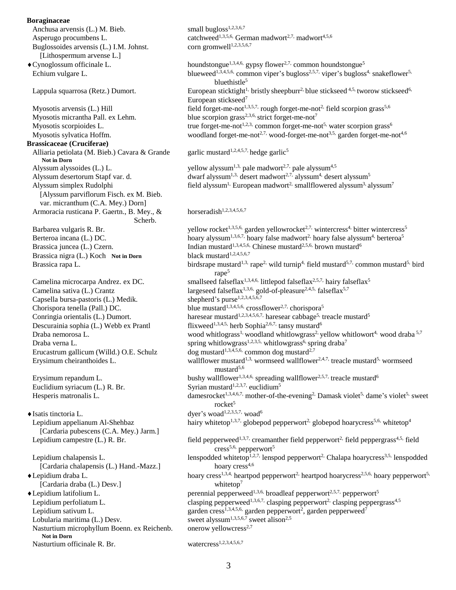#### **Boraginaceae**

Anchusa arvensis (L.) M. Bieb.  $\mu$  small bugloss<sup>1,2,3,6,7</sup> Asperugo procumbens L. catchweed<sup>1,3,5,6,</sup> German madwort<sup>2,7,</sup> madwort<sup>4,5,6</sup><br>Buglossoides arvensis (L.) I.M. Johnst. corn gromwell<sup>1,2,3,5,6,7</sup> Buglossoides arvensis (L.) I.M. Johnst. [Lithospermum arvense L.]  $\bullet$  Cynoglossum officinale L. houndstongue<sup>1,3,4,6,</sup> gypsy flower<sup>2,7,</sup> common houndstongue<sup>5</sup> Echium vulgare L. blueweed<sup>1,3,4,5,6,</sup> common viper's bugloss<sup>2,5,7,</sup> viper's bugloss<sup>4,</sup> snakeflower<sup>5,</sup> bluethistle<sup>5</sup> Lappula squarrosa (Retz.) Dumort. European sticktight<sup>1,</sup> bristly sheepburr<sup>2</sup>, blue stickseed  $4.5$ , tworow stickseed  $6$ , European stickseed<sup>7</sup> Myosotis arvensis (L.) Hill field forget-me-not<sup>1,3,5,7,</sup> rough forget-me-not<sup>2,</sup> field scorpion grass<sup>5,6</sup> Myosotis micrantha Pall. ex Lehm. blue scorpion grass<sup>2,3,6</sup>, strict forget-me-not<sup>7</sup> Myosotis scorpioides L. true forget-me-not<sup>1,2,3,</sup> common forget-me-not<sup>5,</sup> water scorpion grass<sup>6</sup> Myosotis sylvatica Hoffm.  $\text{woodland forget-me-not}^{2,7}, \text{wood-forget-me-not}^{3,5}, \text{garden forget-me-not}^{4,6}$ **Brassicaceae (Cruciferae)** Alliaria petiolata (M. Bieb.) Cavara & Grande garlic mustard<sup>1,2,4,5,7,</sup> hedge garlic<sup>5</sup> **Not in Dorn** Alyssum alyssoides (L.) L. yellow alyssum<sup>1,3,</sup> pale madwort<sup>2,7,</sup> pale alyssum<sup>4,5</sup> Alyssum desertorum Stapf var. d. dwarf alyssum<sup>1,3,</sup> desert madwort<sup>2,7,</sup> alyssum<sup>4,</sup> desert alyssum<sup>5</sup> Alyssum simplex Rudolphi  $\qquad \qquad$  field alyssum<sup>1,</sup> European madwort<sup>2,</sup> smallflowered alyssum<sup>3</sup>, alyssum<sup>7</sup> [Alyssum parviflorum Fisch. ex M. Bieb. var. micranthum (C.A. Mey.) Dorn] Armoracia rusticana P. Gaertn., B. Mey.,  $\&$  horseradish<sup>1,2,3,4,5,6,7</sup> Scherb. Barbarea vulgaris R. Br. yellow rocket<sup>1,3,5,6,</sup> garden yellowrocket<sup>2,7,</sup> wintercress<sup>4,</sup> bitter wintercress<sup>5</sup> Berteroa incana (L.) DC. hoary alyssum<sup>1,3,6,7,</sup> hoary false madwort<sup>2,</sup> hoary false alyssum<sup>4,</sup> berteroa<sup>5</sup> Brassica juncea (L.) Czern. Indian mustard<sup>1,3,4,5,6</sup>, Chinese mustard<sup>2,5,6</sup>, brown mustard<sup>6</sup><br>Brassica nigra (L.) Koch Not in Dorn black mustard<sup>1,2,4,5,6,7</sup> Brassica nigra (L.) Koch Not in Dorn Brassica rapa L. birdsrape mustard<sup>1,3,</sup> rape<sup>2,</sup> wild turnip<sup>4,</sup> field mustard<sup>5,7,</sup> common mustard<sup>5,</sup> bird rape<sup>5</sup> Camelina microcarpa Andrez. ex DC. smallseed falseflax<sup>1,3,4,6,</sup> littlepod falseflax<sup>2,5,7,</sup> hairy falseflax<sup>5</sup> Camelina sativa (L.) Crantz largeseed falseflax<sup>1,3,6,</sup> gold-of-pleasure<sup>2,4,5,</sup> falseflax<sup>5,7</sup><br>Capsella bursa-pastoris (L.) Medik. shepherd's purse<sup>1,2,3,4,5,6,7</sup> Capsella bursa-pastoris (L.) Medik. Chorispora tenella (Pall.) DC. blue mustard<sup>1,3,4,5,6,</sup> crossflower<sup>2,7,</sup> chorispora<sup>5</sup> Conringia orientalis (L.) Dumort. haresear mustard<sup>1,2,3,4,5,6,7,</sup> haresear cabbage<sup>5,</sup> treacle mustard<sup>5</sup> Descurainia sophia (L.) Webb ex Prantl flixweed<sup>1,3,4,5,</sup> herb Sophia<sup>2,6,7,</sup> tansy mustard<sup>6</sup> Draba nemorosa L. wood whitlograss<sup>1,</sup> woodland whitlowgrass<sup>2,</sup> yellow whitlowort<sup>4,</sup> wood draba  $5^{7}$ Draba verna L. spring whitlowgrass<sup>1,2,3,5,</sup> whitlowgrass<sup>6</sup> spring draba<sup>7</sup> Erucastrum gallicum (Willd.) O.E. Schulz dog mustard<sup>1,3,4,5,6</sup>, common dog mustard<sup>2,7</sup> Erysimum cheiranthoides L. wallflower mustard<sup>1,3,</sup> wormseed wallflower<sup>2,4,7,</sup> treacle mustard<sup>5,</sup> wormseed mustard<sup>5,6</sup> Erysimum repandum L. bushy wallflower<sup>1,3,4,6,</sup> spreading wallflower<sup>2,5,7,</sup> treacle mustard<sup>6</sup> Euclidium syriacum (L.) R. Br. Syrian mustard<sup>1,2,3,7,</sup> euclidium<sup>5</sup> Hesperis matronalis L.  $d$  damesrocket<sup>1,3,4,6,7,</sup> mother-of-the-evening<sup>2</sup>. Damask violet<sup>5,</sup> dame's violet<sup>5,</sup> sweet rocket<sup>5</sup>  $\blacklozenge$  Isatis tinctoria L. dyer's woad<sup>1,2,3,5,7,</sup> woad<sup>6</sup> Lepidium appelianum Al-Shehbaz hairy whitetop<sup>1,3,7,</sup> globepod pepperwort<sup>2,</sup> globepod hoarycress<sup>5,6,</sup> whitetop<sup>4</sup> [Cardaria pubescens (C.A. Mey.) Jarm.] Lepidium campestre (L.) R. Br. field pepperweed<sup>1,3,7,</sup> creamanther field pepperwort<sup>2,</sup> field peppergrass<sup>4,5,</sup> field cress<sup>5,6,</sup> pepperwort<sup>5</sup> Lepidium chalapensis L. lenspodded whitetop<sup> $1,2,7$ </sup>, lenspod pepperwort<sup>2</sup>, Chalapa hoarycress<sup>3,5,</sup> lenspodded [Cardaria chalapensis (L.) Hand.-Mazz.] hoary cress<sup>4,6</sup> ◆Lepidium draba L. hoary cress<sup>1,3,4,</sup> heartpod pepperwort<sup>2,</sup> heartpod hoarycress<sup>2,5,6,</sup> hoary pepperwort<sup>5,</sup> [Cardaria draba (L.) Desv.] whitetop<sup>7</sup> Eightharpoonup Lepidium L. **performal performal performal performal** percennial pepperweed<sup>1,3,6,</sup> broadleaf pepperwort<sup>2,5,7,</sup> pepperwort<sup>5</sup> Lepidium perfoliatum L. clasping pepperweed<sup>1,3,6,7,</sup> clasping pepperwort<sup>2,</sup> clasping peppergrass<sup>4,5</sup> Lepidium sativum L. garden cress<sup>1,3,4,5,6,</sup> garden pepperwort<sup>2</sup>, garden pepperweed<sup>7</sup> Lobularia maritima (L.) Desv. sweet alyssum<sup>1,3,5,6,7</sup> sweet alyssum<sup>1,3,5,6,7</sup> sweet alyssum<sup>1,3,5,6,7</sup> sweet alyssum<sup>1,3,5,6,7</sup> sweet alyssum<sup>1,3,5,6,7</sup> sweet alyssum<sup>1,3,5,6,7</sup> sweet alyssum<sup>1,3,5,6,7</sup> sweet alyssum<sup>1,3</sup> sweet alyssum<sup>1,3,5,6,7</sup> sweet alison<sup>2,5</sup> Nasturtium microphyllum Boenn. ex Reichenb. **Not in Dorn** Nasturtium officinale R. Br. watercress<sup>1,2,3,4,5,6,7</sup>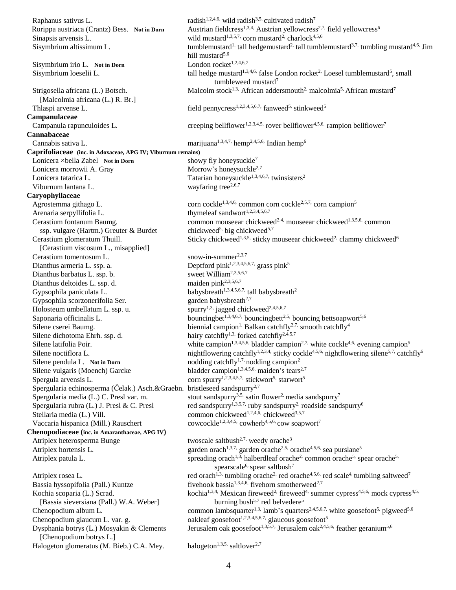Raphanus sativus L. radish<sup>1,2,4,6,</sup> wild radish<sup>3,5,</sup> cultivated radish<sup>7</sup> Rorippa austriaca (Crantz) Bess. Not in Dorn Austrian fieldcress<sup>1,3,4,</sup> Austrian yellowcress<sup>2,7,</sup> field yellowcress<sup>6</sup> Sinapsis arvensis L. wild mustard<sup>1,3,5,7,</sup> corn mustard<sup>2,</sup> charlock<sup>4,5,6</sup> Sisymbrium altissimum L. tumblemustard<sup>1,</sup> tall hedgemustard<sup>2,</sup> tall tumblemustard<sup>3,7,</sup> tumbling mustard<sup>4,6,</sup> Jim hill mustard $5,6$ Sisymbrium irio L. Not in Dorn London rocket<sup>1,2,4,6,7</sup> Sisymbrium loeselii L.  $tall \text{ hedge mustard}^{1,3,4,6}$  false London rocket<sup>2</sup> Loesel tumblemustard<sup>5</sup>, small tumbleweed mustard<sup>7</sup> Strigosella africana (L.) Botsch. Malcolm stock<sup>1,3,</sup> African addersmouth<sup>2,</sup> malcolmia<sup>5,</sup> African mustard<sup>7</sup> [Malcolmia africana (L.) R. Br.] Thlaspi arvense L.  $\qquad \qquad$  field pennycress<sup>1,2,3,4,5,6,7,</sup> fanweed<sup>5</sup>, stinkweed<sup>5</sup> **Campanulaceae** Campanula rapunculoides L. creeping bellflower<sup>1,2,3,4,5</sup>, rover bellflower<sup>4</sup>,5,6, rampion bellflower<sup>7</sup> **Cannabaceae** Cannabis sativa L. marijuana<sup>1,3,4,7,</sup> hemp<sup>2,4,5,6</sup>, Indian hemp<sup>6</sup> **Caprifoliaceae (inc. in Adoxaceae, APG IV; Viburnum remains)** Lonicera ×bella Zabel **Not in Dorn** showy fly honeysuckle<sup>7</sup> Lonicera morrowii A. Gray Morrow's honeysuckle<sup> $2,7$ </sup> Lonicera tatarica L. Tatarian honeysuckle<sup>1,3,4,6,7,</sup> twinsisters<sup>2</sup> Viburnum lantana L. wayfaring tree<sup> $2,6,7$ </sup> **Caryophyllaceae** Agrostemma githago L. corn cockle<sup>1,3,4,6,</sup> common corn cockle<sup>2,5,7,</sup> corn campion<sup>5</sup> Arenaria serpyllifolia L. thymeleaf sandwort<sup>1,2,3,4,5,6,7</sup> Cerastium fontanum Baumg. common mouseear chickweed<sup>2,4,</sup> mouseear chickweed<sup>1,3,5,6,</sup> common ssp. vulgare (Hartm.) Greuter & Burdet chickweed<sup>5, big chickweed<sup>5,7</sup></sup> Cerastium glomeratum Thuill. Sticky chickweed<sup>1,3,5,</sup> sticky mouseear chickweed<sup>2,</sup> clammy chickweed<sup>6</sup> [Cerastium viscosum L., misapplied] Cerastium tomentosum L. snow-in-summer<sup>2,3,7</sup> Dianthus armeria L. ssp. a. Deptford pink<sup>1,2,3,4,5,6,7,</sup> grass pink<sup>5</sup> Dianthus barbatus L. ssp. b.<br>
Dianthus deltoides L. ssp. d.<br>
maiden pink<sup>2,3,5,6,7</sup> Dianthus deltoides L. ssp. d. Gypsophila paniculata L.<br>Gypsophila scorzonerifolia Ser.<br>garden babysbreath<sup>2,7</sup> Gypsophila scorzonerifolia Ser. Holosteum umbellatum L. ssp. u. spurry<sup>1,3,</sup> jagged chickweed<sup>2,4,5,6,7</sup> Saponaria officinalis L. bouncingbet<sup>1,3,4,6,7,</sup> bouncing bettsoapwort<sup>5,6</sup> Silene cserei Baumg. biennial campion<sup>1,</sup> Balkan catchfly<sup>2,7,</sup> smooth catchfly<sup>4</sup> Silene dichotoma Ehrh. ssp. d. hairy catchfly<sup>1,3,</sup> forked catchfly<sup>2,4,5,7</sup> Silene latifolia Poir. white campion<sup>1,3,4,5,6,</sup> bladder campion<sup>2,7,</sup> white cockle<sup>4,6,</sup> evening campion<sup>5</sup> Silene noctiflora L. nightflowering catchfly<sup>1,2,3,4,</sup> sticky cockle<sup>4,5,6,</sup> nightflowering silene<sup>5,7,</sup> catchfly<sup>6</sup> Silene pendula L. Not in Dorn<br>
nodding catchfly<sup>1,7,</sup> nodding campion<sup>2</sup> Silene vulgaris (Moench) Garcke bladder campion<sup>1,3,4,5,6,</sup> maiden's tears<sup>2,7</sup> Spergula arvensis L.  $\qquad \qquad \text{com spurry}^{1,2,3,4,5,7}, \text{stickwort}^{5}, \text{starwort}^{5}$ Spergularia echinosperma (Čelak.) Asch.&Graebn. bristleseed sandspurry<sup>2,7</sup> Spergularia media (L.) C. Presl var. m. stout sandspurry<sup>3,5,</sup> satin flower<sup>2,</sup> media sandspurry<sup>7</sup> Spergularia rubra (L.) J. Presl & C. Presl red sandspurry<sup>1,3,5,7,</sup> ruby sandspurry<sup>2,</sup> roadside sandspurry<sup>6</sup> Stellaria media (L.) Vill. common chickweed<sup>1,2,4,6</sup>, chickweed<sup>3,5,7</sup> Vaccaria hispanica (Mill.) Rauschert cowcockle<sup>1,2,3,4,5,</sup> cowherb<sup>4,5,6</sup>, cow soapwort<sup>7</sup> **Chenopodiaceae (inc. in Amaranthaceae, APG IV)** Atriplex heterosperma Bunge twoscale saltbush<sup>2,7,</sup> weedy orache<sup>3</sup> Atriplex hortensis L. garden orach<sup>1,3,7,</sup> garden orache<sup>2,5,</sup> orache<sup>4,5,6,</sup> sea purslane<sup>5</sup> Atriplex patula L. spreading orach<sup>1,3,</sup> halberdleaf orache<sup>2</sup>, common orache<sup>5,</sup> spear orache<sup>5,</sup> spearscale<sup>6,</sup> spear saltbush<sup>7</sup> Atriplex rosea L. red orach<sup>1,3,</sup> tumbling orache<sup>2,</sup> red orache<sup>4,5,6,</sup> red scale<sup>4</sup>, tumbling saltweed<sup>7</sup> Bassia hyssopifolia (Pall.) Kuntze fivehook bassia<sup>1,3,4,6,</sup> fivehorn smotherweed<sup>2,7</sup> Kochia scoparia (L.) Scrad. kochia<sup>1,3,4</sup>, Mexican fireweed<sup>2</sup>, fireweed<sup>4</sup>, summer cypress<sup>4,5,6</sup>, mock cypress<sup>4,5,</sup> [Bassia sieversiana (Pall.) W.A. Weber] burning bush<sup>5,7</sup> red belvedere<sup>5</sup> Chenopodium album L. common lambsquarter<sup>1,3,</sup> lamb's quarters<sup>2,4,5,6,7,</sup> white goosefoot<sup>5,</sup> pigweed<sup>5,6</sup> Chenopodium glaucum L. var. g.  $o$ akleaf goosefoot<sup>1,2,3,4,5,6,7,</sup> glaucous goosefoot<sup>5</sup> Dysphania botrys (L.) Mosyakin & Clements Jerusalem oak goosefoot<sup>1,3,5,7,</sup> Jerusalem oak<sup>2,4,5,6,</sup> feather geranium<sup>5,6</sup> [Chenopodium botrys L.] Halogeton glomeratus (M. Bieb.) C.A. Mey. halogeton<sup>1,3,5,</sup> saltlover<sup>2,7</sup>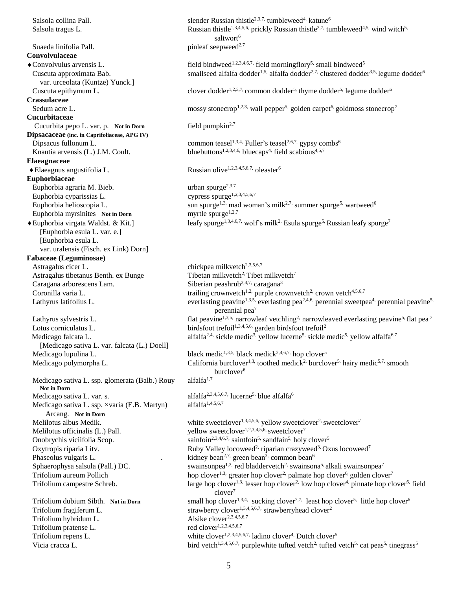Salsola collina Pall. slender Russian thistle<sup>2,3,7,</sup> tumbleweed<sup>4,</sup> katune<sup>6</sup> Salsola tragus L. Russian thistle<sup>1,3,4,5,6,</sup> prickly Russian thistle<sup>2,7,</sup> tumbleweed<sup>4,5,</sup> wind witch<sup>5,</sup> saltwort<sup>6</sup> **Suaeda linifolia Pall.** pinleaf seepweed<sup>2,7</sup> **Convolvulaceae** • Convolvulus arvensis L. field bindweed<sup>1,2,3,4,6,7,</sup> field morningflory<sup>5,</sup> small bindweed<sup>5</sup> Cuscuta approximata Bab. smallseed alfalfa dodder<sup>1,5,</sup> alfalfa dodder<sup>2,7,</sup> clustered dodder<sup>3,5,</sup> legume dodder<sup>6</sup> var. urceolata (Kuntze) Yunck.] Cuscuta epithymum L. clover dodder<sup>1,2,3,7,</sup> common dodder<sup>5,</sup> thyme dodder<sup>5, legume dodder<sup>6</sup></sup> **Crassulaceae** Sedum acre L. mossy stonecrop<sup>1,2,3,</sup> wall pepper<sup>5,</sup> golden carpet<sup>6,</sup> goldmoss stonecrop<sup>7</sup> **Cucurbitaceae Cucurbita pepo L. var. p. Not in Dorn** field pumpkin<sup>2,7</sup> **Dipsacaceae (inc. in Caprifoliaceae, APG IV)**  $\sum_{n=1}^{\infty}$  Dipsacus fullonum L. common teasel<sup>1,3,4,</sup> Fuller's teasel<sup>2,6,7,</sup> gypsy combs<sup>6</sup> Knautia arvensis (L.) J.M. Coult. bluebuttons<sup>1,2,3,4,6,</sup> bluecaps<sup>4</sup>, field scabious<sup>4,5,7</sup> **Elaeagnaceae** ◆ Elaeagnus angustifolia L. Russian olive<sup>1,2,3,4,5,6,7,</sup> oleaster<sup>6</sup> **Euphorbiaceae** Euphorbia agraria M. Bieb. urban spurge<sup>2,3,7</sup><br>Euphorbia cyparissias L. cypress spurge<sup>1,2,3,4,5,6,7</sup> Euphorbia cyparissias L. Euphorbia helioscopia L. sun spurge<sup>1,3,</sup> mad woman's milk<sup>2,7,</sup> summer spurge<sup>5,</sup> wartweed<sup>6</sup> Euphorbia myrsinites **Not in Dorn** myrtle spurge<sup>1,2,7</sup> Euphorbia virgata Waldst. & Kit.] leafy spurge<sup>1,3,4,6,7,</sup> wolf's milk<sup>2</sup>. Esula spurge<sup>5,</sup> Russian leafy spurge<sup>7</sup> [Euphorbia esula L. var. e.] [Euphorbia esula L. var. uralensis (Fisch. ex Link) Dorn] **Fabaceae (Leguminosae)** Astragalus cicer L. chickpea milkvetch<sup>2,3,5,6,7</sup> Astragalus tibetanus Benth. ex Bunge  $\qquad$  Tibetan milkvetch<sup>2</sup> Tibet milkvetch<sup>7</sup> Caragana arborescens Lam. Siberian peashrub<sup>2,4,7,</sup> caragana<sup>3</sup> Coronilla varia L. trailing crownvetch<sup>1,2,</sup> purple crownvetch<sup>2,</sup> crown vetch<sup>4,5,6,7</sup> Lathyrus latifolius L. everlasting peavine<sup>1,3,5,</sup> everlasting pea<sup>2,4,6,</sup> perennial sweetpea<sup>4,</sup> perennial peavine<sup>5,</sup> perennial pea<sup>7</sup> Lathyrus sylvestris L. flat peavine<sup>1,3,5,</sup> narrowleaf vetchling<sup>2,</sup> narrowleaved everlasting peavine<sup>5,</sup> flat pea<sup>7</sup> Lotus corniculatus L. birdsfoot trefoil<sup>1,3,4,5,6,</sup> garden birdsfoot trefoil<sup>2</sup> Medicago falcata L. alfalfa<sup>2,4</sup>, sickle medic<sup>3</sup>, yellow lucerne<sup>5,</sup> sickle medic<sup>5,</sup> yellow alfalfa<sup>6,7</sup> [Medicago sativa L. var. falcata (L.) Doell] Medicago lupulina L. black medic<sup>1,3,5,</sup> black medick<sup>2,4,6,7,</sup> hop clover<sup>5</sup> Medicago polymorpha L. California burclover<sup>1,3,</sup> toothed medick<sup>2,</sup> burclover<sup>5,</sup> hairy medic<sup>5,7,</sup> smooth burclover<sup>6</sup> Medicago sativa L. ssp. glomerata (Balb.) Rouy alfalfa<sup>1,7</sup> **Not in Dorn** Medicago sativa L. var. s. alfalfa<sup>2,3,4,5,6,7,</sup> lucerne<sup>5,</sup> blue alfalfa<sup>6</sup><br>Medicago sativa L. ssp. ×varia (E.B. Martyn) alfalfa<sup>1,4,5,6,7</sup> Medicago sativa L. ssp. ×varia (E.B. Martyn) Arcang. **Not in Dorn** Melilotus albus Medik. white sweetclover<sup>1,3,4,5,6,</sup> yellow sweetclover<sup>2</sup>, sweetclover<sup>7</sup> Melilotus officinalis (L.) Pall.  $V$  vellow sweetclover<sup>1,2,3,4,5,6,</sup> sweetclover<sup>7</sup> Onobrychis viciifolia Scop. sainfoin<sup>2,3,4,6,7,</sup> saintfoin<sup>5,</sup> sandfain<sup>5,</sup> holy clover<sup>5</sup> Oxytropis riparia Litv. Ruby Valley locoweed<sup>2,</sup> riparian crazyweed<sup>3,</sup> Oxus locoweed<sup>7</sup> Phaseolus vulgaris L.  $\cdot$  .  $\cdot$  kidney bean<sup>2,7,</sup> green bean<sup>3</sup>, common bean<sup>6</sup> Sphaerophysa salsula (Pall.) DC. swainsonpea<sup>1,3,</sup> red bladdervetch<sup>2,</sup> swainsona<sup>5</sup> alkali swainsonpea<sup>7</sup> Trifolium aureum Pollich hop clover<sup>1,3,</sup> greater hop clover<sup>2</sup>, palmate hop clover<sup>6,</sup> golden clover<sup>7</sup> Trifolium campestre Schreb. large hop clover<sup>1,3,</sup> lesser hop clover<sup>2,</sup> low hop clover<sup>4</sup>, pinnate hop clover<sup>6,</sup> field clover<sup>7</sup> Trifolium dubium Sibth. Not in Dorn small hop clover<sup>1,3,4,</sup> sucking clover<sup>2,7,</sup> least hop clover<sup>5,</sup> little hop clover<sup>6</sup> Trifolium fragiferum L. strawberry clover<sup>1,3,4,5,6,7,</sup> strawberryhead clover<sup>2</sup> Trifolium hybridum L.<br>
Trifolium pratense L.<br>
Trifolium pratense L.<br>
Trifolium pratense L.<br>
Trifolium pratense L.<br>
Trifolium pratense L.<br>
Trifolium pratense L. Trifolium pratense L. Trifolium repens L. white clover<sup>1,2,3,4,5,6,7,</sup> ladino clover<sup>4</sup>, Dutch clover<sup>5</sup> Vicia cracca L. **bird** vetch<sup>1,3,4,5,6,7, purplewhite tufted vetch<sup>2</sup>, tufted vetch<sup>5</sup>, cat peas<sup>5</sup>, tinegrass<sup>5</sup></sup>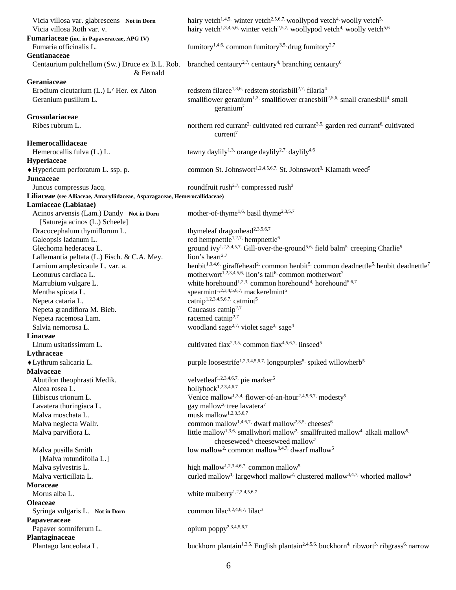| Vicia villosa var. glabrescens Not in Dorn<br>Vicia villosa Roth var. v.<br>Fumariaceae (inc. in Papaveraceae, APG IV) | hairy vetch <sup>1,4,5</sup> , winter vetch <sup>2,5,6,7</sup> , woollypod vetch <sup>4,</sup> woolly vetch <sup>5,</sup><br>hairy vetch <sup>1,3,4,5,6</sup> winter vetch <sup>2,5,7</sup> woollypod vetch <sup>4,</sup> woolly vetch <sup>5,6</sup> |
|------------------------------------------------------------------------------------------------------------------------|-------------------------------------------------------------------------------------------------------------------------------------------------------------------------------------------------------------------------------------------------------|
| Fumaria officinalis L.                                                                                                 | fumitory <sup>1,4,6,</sup> common fumitory <sup>3,5,</sup> drug fumitory <sup>2,7</sup>                                                                                                                                                               |
| Gentianaceae<br>Centaurium pulchellum (Sw.) Druce ex B.L. Rob.                                                         | branched centaury <sup>2,7,</sup> centaury <sup>4,</sup> branching centaury <sup>6</sup>                                                                                                                                                              |
| & Fernald                                                                                                              |                                                                                                                                                                                                                                                       |
| Geraniaceae                                                                                                            | redstem filaree <sup>1,3,6,</sup> redstem storksbill <sup>2,7,</sup> filaria <sup>4</sup>                                                                                                                                                             |
| Erodium cicutarium (L.) L'Her. ex Aiton<br>Geranium pusillum L.                                                        | smallflower geranium <sup>1,3,</sup> smallflower cranesbill <sup>2,5,6,</sup> small cranesbill <sup>4</sup> , small<br>geranium <sup>7</sup>                                                                                                          |
| Grossulariaceae                                                                                                        |                                                                                                                                                                                                                                                       |
| Ribes rubrum L.                                                                                                        | northern red currant <sup>2</sup> , cultivated red currant <sup>3,5,</sup> garden red currant <sup>6,</sup> cultivated<br>current <sup>7</sup>                                                                                                        |
| Hemerocallidaceae                                                                                                      |                                                                                                                                                                                                                                                       |
| Hemerocallis fulva (L.) L.                                                                                             | tawny daylily <sup>1,3,</sup> orange daylily <sup>2,7,</sup> daylily <sup>4,6</sup>                                                                                                                                                                   |
| Hyperiaceae                                                                                                            |                                                                                                                                                                                                                                                       |
| ◆ Hypericum perforatum L. ssp. p.                                                                                      | common St. Johnswort <sup>1,2,4,5,6,7,</sup> St. Johnswort <sup>3,</sup> Klamath weed <sup>5</sup>                                                                                                                                                    |
| <b>Juncaceae</b>                                                                                                       |                                                                                                                                                                                                                                                       |
| Juncus compressus Jacq.                                                                                                | roundfruit rush <sup>2,7,</sup> compressed rush <sup>3</sup>                                                                                                                                                                                          |
| Liliaceae (see Alliaceae, Amaryllidaceae, Asparagaceae, Hemerocallidaceae)                                             |                                                                                                                                                                                                                                                       |
| Lamiaceae (Labiatae)                                                                                                   |                                                                                                                                                                                                                                                       |
| Acinos arvensis (Lam.) Dandy Not in Dorn                                                                               | mother-of-thyme <sup>1,6,</sup> basil thyme <sup>2,3,5,7</sup>                                                                                                                                                                                        |
| [Satureja acinos (L.) Scheele]                                                                                         |                                                                                                                                                                                                                                                       |
| Dracocephalum thymiflorum L.                                                                                           | thymeleaf dragonhead <sup>2,3,5,6,7</sup>                                                                                                                                                                                                             |
| Galeopsis ladanum L.                                                                                                   | red hempnettle <sup>1,2,7,</sup> hempnettle <sup>6</sup>                                                                                                                                                                                              |
| Glechoma hederacea L.                                                                                                  | ground ivy <sup>1,2,3,4,5,7,</sup> Gill-over-the-ground <sup>5,6,</sup> field balm <sup>5,</sup> creeping Charlie <sup>5</sup>                                                                                                                        |
| Lallemantia peltata (L.) Fisch. & C.A. Mey.                                                                            | lion's heart <sup>2,7</sup>                                                                                                                                                                                                                           |
| Lamium amplexicaule L. var. a.                                                                                         | henbit <sup>1,3,4,6,</sup> giraffehead <sup>2,</sup> common henbit <sup>5</sup> , common deadnettle <sup>5</sup> , henbit deadnettle <sup>7</sup>                                                                                                     |
| Leonurus cardiaca L.                                                                                                   | motherwort <sup>1,2,3,4,5,6,</sup> lion's tail <sup>6,</sup> common motherwort <sup>7</sup>                                                                                                                                                           |
| Marrubium vulgare L.                                                                                                   | white horehound <sup>1,2,3,</sup> common horehound <sup>4,</sup> horehound <sup>5,6,7</sup>                                                                                                                                                           |
| Mentha spicata L.                                                                                                      | spearmint <sup>1,2,3,4,5,6,7,</sup> mackerelmint <sup>5</sup>                                                                                                                                                                                         |
| Nepeta cataria L.                                                                                                      | catnip <sup>1,2,3,4,5,6,7,</sup> catmint <sup>5</sup>                                                                                                                                                                                                 |
| Nepeta grandiflora M. Bieb.                                                                                            | Caucasus catnip <sup>2,7</sup>                                                                                                                                                                                                                        |
| Nepeta racemosa Lam.<br>Salvia nemorosa L.                                                                             | racemed catnip <sup>2,7</sup><br>woodland sage <sup>2,7,</sup> violet sage <sup>3,</sup> sage <sup>4</sup>                                                                                                                                            |
| <b>Linaceae</b>                                                                                                        |                                                                                                                                                                                                                                                       |
| Linum usitatissimum L.                                                                                                 | cultivated flax <sup>2,3,5,</sup> common flax <sup>4,5,6,7,</sup> linseed <sup>5</sup>                                                                                                                                                                |
| Lythraceae                                                                                                             |                                                                                                                                                                                                                                                       |
| ◆ Lythrum salicaria L.                                                                                                 | purple loosestrife <sup>1,2,3,4,5,6,7,</sup> longpurples <sup>5</sup> , spiked willowherb <sup>5</sup>                                                                                                                                                |
| <b>Malvaceae</b>                                                                                                       |                                                                                                                                                                                                                                                       |
| Abutilon theophrasti Medik.                                                                                            | velvetleaf <sup>1,2,3,4,6,7,</sup> pie marker <sup>6</sup>                                                                                                                                                                                            |
| Alcea rosea L.                                                                                                         | hollyhock <sup>1,2,3,4,6,7</sup>                                                                                                                                                                                                                      |
| Hibiscus trionum L.                                                                                                    | Venice mallow <sup>1,3,4,</sup> flower-of-an-hour <sup>2,4,5,6,7,</sup> modesty <sup>5</sup>                                                                                                                                                          |
| Lavatera thuringiaca L.                                                                                                | gay mallow <sup>2,</sup> tree lavatera <sup>7</sup>                                                                                                                                                                                                   |
| Malva moschata L.                                                                                                      | musk mallow <sup>1,2,3,5,6,7</sup>                                                                                                                                                                                                                    |
| Malva neglecta Wallr.                                                                                                  | common mallow <sup>1,4,6,7,</sup> dwarf mallow <sup>2,3,5</sup> , cheeses <sup>6</sup>                                                                                                                                                                |
| Malva parviflora L.                                                                                                    | little mallow <sup>1,3,6,</sup> smallwhorl mallow <sup>2,</sup> smallfruited mallow <sup>4,</sup> alkali mallow <sup>5,</sup><br>cheeseweed <sup>5</sup> cheeseweed mallow <sup>7</sup>                                                               |
| Malva pusilla Smith<br>[Malva rotundifolia L.]                                                                         | low mallow <sup>2,</sup> common mallow <sup>3,4,7,</sup> dwarf mallow <sup>6</sup>                                                                                                                                                                    |
| Malva sylvestris L.                                                                                                    | high mallow <sup>1,2,3,4,6,7,</sup> common mallow <sup>5</sup>                                                                                                                                                                                        |
| Malva verticillata L.                                                                                                  | curled mallow <sup>1,</sup> largewhorl mallow <sup>2,</sup> clustered mallow <sup>3,4,7,</sup> whorled mallow <sup>6</sup>                                                                                                                            |
| <b>Moraceae</b>                                                                                                        |                                                                                                                                                                                                                                                       |
| Morus alba L.                                                                                                          | white mulberry <sup>1,2,3,4,5,6,7</sup>                                                                                                                                                                                                               |
| <b>Oleaceae</b>                                                                                                        |                                                                                                                                                                                                                                                       |
| Syringa vulgaris L. Not in Dorn                                                                                        | common lilac <sup>1,2,4,6,7,</sup> lilac <sup>3</sup>                                                                                                                                                                                                 |
| Papaveraceae                                                                                                           |                                                                                                                                                                                                                                                       |
| Papaver somniferum L.                                                                                                  | opium poppy <sup>2,3,4,5,6,7</sup>                                                                                                                                                                                                                    |
| Plantaginaceae                                                                                                         |                                                                                                                                                                                                                                                       |
| Plantago lanceolata L.                                                                                                 | buckhorn plantain <sup>1,3,5</sup> . English plantain <sup>2,4,5,6,</sup> buckhorn <sup>4</sup> , ribwort <sup>5</sup> , ribgrass <sup>6,</sup> narrow                                                                                                |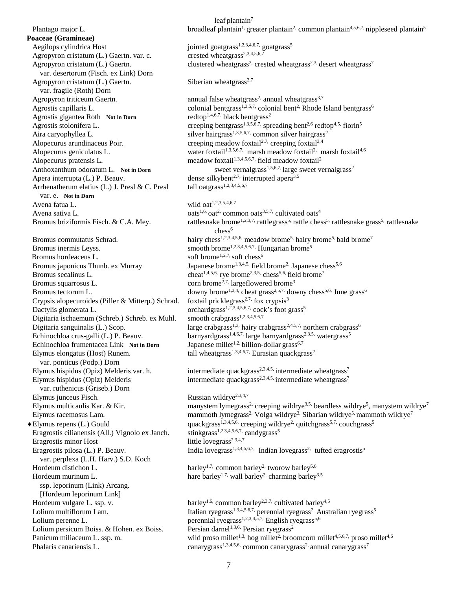**Poaceae (Gramineae)** Aegilops cylindrica Host jointed goatgrass<sup>1,2,3,4,6,7,</sup> goatgrass<sup>5</sup><br>Agropyron cristatum (L.) Gaertn. var. c. cristed wheatgrass<sup>2,3,4,5,6,7</sup> Agropyron cristatum (L.) Gaertn. var. c. var. desertorum (Fisch. ex Link) Dorn Agropyron cristatum  $(L)$  Gaertn. Siberian wheatgrass<sup>2,7</sup> var. fragile (Roth) Dorn Agrostis gigantea Roth **Not in Dorn** redtop<sup>1,4,6,7.</sup> black bentgrass<sup>2</sup> Alopecurus geniculatus L. Apera interrupta (L.) P. Beauv. dense silkybent<sup>2,7,</sup> interrupted apera<sup>3,5</sup><br>Arrhenatherum elatius (L.) J. Presl & C. Presl dil oatgrass<sup>1,2,3,4,5,6,7</sup> Arrhenatherum elatius (L.) J. Presl & C. Presl var. e. **Not in Dorn** Avena fatua L.  $\omega$  wild  $\omega$  at  $1,2,3,5,4,6,7$ Avena sativa L.  $\qquad \qquad \text{oats}^{1,6}, \text{cat}^2$  common oats<sup>3,5,7,</sup> cultivated oats<sup>4</sup> Bromus inermis Leyss. smooth brome<sup>1,2,3,4,5,6,7,</sup> Hungarian brome<sup>5</sup> Bromus hordeaceus L. soft brome<sup>1,2,7,</sup> soft chess<sup>6</sup> Bromus squarrosus L. corn brome<sup>2,7,</sup> largeflowered brome<sup>3</sup> Crypsis alopecuroides (Piller  $&$  Mitterp.) Schrad. Crypsis alopecuroides (Piller & Mitterp.) Schrad. foxtail pricklegrass<sup>2,7,</sup> fox crypsis<sup>3</sup><br>Dactylis glomerata L. orchardgrass<sup>1,2,3,4,5,6,7,</sup> cock's foot grass<sup>5</sup><br>Digitaria ischaemum (Schreb.) Schreb. ex Muhl. smooth crab Digitaria ischaemum (Schreb.) Schreb. ex Muhl. Echinochloa crus-galli (L.) P. Beauv. barnyardgrass<sup>1,4,6,7,</sup> large barnyardgrass<sup>1</sup>. Echinochloa frumentacea Link Not in Dorn Japanese millet<sup>1,2,</sup> billion-dollar grass<sup>6,7</sup> Echinochloa frumentacea Link Not in Dorn Elymus elongatus (Host) Runem. tall wheatgrass<sup>1,3,4,6,7,</sup> Eurasian quackgrass<sup>2</sup> var. ponticus (Podp.) Dorn var. ruthenicus (Griseb.) Dorn Elymus junceus Fisch. Russian wildrye<sup>2,3,4,7</sup> Eragrostis cilianensis (All.) Vignolo ex Janch. stinkgrass<sup>1,2,3,4,5,6,7</sup>, candy extends the love extenditure of the love extenditure of the love extending the love extending the love extending the love extending the love Eragrostis minor Host Eragrostis pilosa (L.) P. Beauv. var. perplexa (L.H. Harv.) S.D. Koch Hordeum distichon L. barley<sup>1,7,</sup> common barley<sup>2,</sup> tworow barley<sup>5,6</sup> ssp. leporinum (Link) Arcang. [Hordeum leporinum Link] Lolium persicum Boiss. & Hohen. ex Boiss.

leaf plantain $7$ **Plantago major L.** broadleaf plantain<sup>1,</sup> greater plantain<sup>2</sup>, common plantain<sup>4,5,6,7,</sup> nippleseed plantain<sup>5</sup> Agropyron cristatum (L.) Gaertn. clustered wheatgrass<sup>2, crested wheatgrass<sup>2,3,</sup> desert wheatgrass<sup>7</sup></sup> Agropyron triticeum Gaertn. annual false wheatgrass<sup>2,</sup> annual wheatgrass<sup>3,7</sup> Agrostis capillaris L. colonial bentgrass<sup>1,3,5,7,</sup> colonial bent<sup>2</sup>. Rhode Island bentgrass<sup>6</sup> Agrostis stolonifera L. creeping bentgrass<sup>1,3,5,6,7,</sup> spreading bent<sup>2,6</sup> redtop<sup>4,5,</sup> fiorin<sup>5</sup> Aira caryophyllea L. silver hairgrass<sup>1,3,5,6,7,</sup> common silver hairgrass<sup>2</sup> Alopecurus arundinaceus Poir. creeping meadow foxtail<sup>2,7,</sup> creeping foxtail<sup>3,4</sup> marsh meadow foxtail<sup>2,</sup> marsh foxtail<sup>4,6</sup> Alopecurus pratensis L. meadow foxtail<sup>1,3,4,5,6,7,</sup> field meadow foxtail<sup>2</sup> Anthoxanthum odoratum L. **Not in Dorn** sweet vernalgrass<sup>1,5,6,7,</sup> large sweet vernalgrass<sup>2</sup> Bromus briziformis Fisch. & C.A. Mey. rattlesnake brome<sup>1,2,3,7,</sup> rattlegrass<sup>5,</sup> rattle chess<sup>5</sup>, rattlesnake grass<sup>5</sup>, rattlesnake chess<sup>6</sup> Bromus commutatus Schrad. hairy chess<sup>1,2,3,4,5,6,</sup> meadow brome<sup>5,</sup> hairy brome<sup>5,</sup> bald brome<sup>7</sup> Bromus japonicus Thunb. ex Murray Japanese brome<sup>1,3,4,5,</sup> field brome<sup>2,</sup> Japanese chess<sup>5,6</sup> Bromus secalinus L. cheat<sup>1,4,5,6,</sup> rye brome<sup>2,3,5,</sup> chess<sup>5,6,</sup> field brome<sup>7</sup> Bromus tectorum L. downy brome<sup>1,3,4,</sup> cheat grass<sup>2,5,7,</sup> downy chess<sup>5,6,</sup> June grass<sup>6</sup> Digitaria sanguinalis (L.) Scop. large crabgrass<sup>1,3,</sup> hairy crabgrass<sup>2,4,5,7,</sup> northern crabgrass<sup>6</sup> barnyardgrass<sup>1,4,6,7,</sup> large barnyardgrass<sup>2,3,5,</sup> watergrass<sup>5</sup> Elymus hispidus (Opiz) Melderis var. h. intermediate quackgrass<sup>2,3,4,5,</sup> intermediate wheatgrass<sup>7</sup> Elymus hispidus (Opiz) Melderis intermediate quackgrass<sup>2,3,4,5,</sup> intermediate wheatgrass<sup>7</sup> Elymus multicaulis Kar. & Kir. manystem lymegrass<sup>2</sup>, creeping wildrye<sup>3,5,</sup> beardless wildrye<sup>5</sup>, manystem wildrye<sup>7</sup> Elymus racemosus Lam. mammoth lymegrass<sup>2,</sup> Volga wildrye<sup>3,</sup> Sibarian wildrye<sup>5,</sup> mammoth wildrye<sup>7</sup> Elymus repens (L.) Gould quackgrass<sup>1,3,4,5,6,</sup> creeping wildrye<sup>2,</sup> quitchgrass<sup>5,7,</sup> couchgrass<sup>5</sup><br>Eragrostis cilianensis (All.) Vignolo ex Janch. stinkgrass<sup>1,2,3,4,5,6,7</sup>, candygrass<sup>5</sup> Indian lovegrass<sup>2,</sup> tufted eragrostis<sup>5</sup> Hordeum murinum L. hare barley<sup>1,7,</sup> wall barley<sup>2</sup> charming barley<sup>3,5</sup> Hordeum vulgare L. ssp. v. barley<sup>1,6,</sup> common barley<sup>2,3,7</sup>, cultivated barley<sup>4,5</sup> Lolium multiflorum Lam. Italian ryegrass<sup>1,3,4,5,6,7,</sup> perennial ryegrass<sup>2</sup>, Australian ryegrass<sup>5</sup> Lolium perenne L.<br>
Lolium persicum Boiss. & Hohen. ex Boiss. Persian darnel<sup>1,3,6,</sup> Persian ryegrass<sup>2</sup> Panicum miliaceum L. ssp. m. wild proso millet<sup> $1,3$ </sup> hog millet<sup>2</sup> broomcorn millet<sup>4,5,6,7,</sup> proso millet<sup>4,6</sup> Phalaris canariensis L. canarygrass<sup>1,3,4,5,6,</sup> common canarygrass<sup>2</sup> annual canarygrass<sup>7</sup>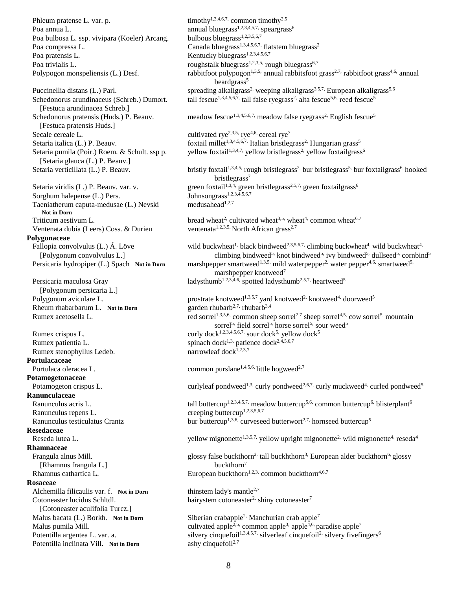Phleum pratense L. var. p. timothy<sup>1,3,4,6,7,</sup> common timothy<sup>2,5</sup> Poa annua L.<br>
Poa bulbosa L. ssp. vivipara (Koeler) Arcang. bulbous bluegrass<sup>1,2,3,4,5,7,</sup> speargrass<sup>6</sup> Poa bulbosa L. ssp. vivipara (Koeler) Arcang. Poa compressa L. Canada bluegrass<sup>1,3,4,5,6,7,</sup> flatstem bluegrass<sup>2</sup> Poa pratensis L. Kentucky bluegrass<sup>1,2,3,4,5,6,7</sup> Poa trivialis L. roughstalk bluegrass<sup>1,2,3,5,</sup> rough bluegrass<sup>6,7</sup>

 [Festuca arundinacea Schreb.] [Festuca pratensis Huds.] Secale cereale L. cultivated rye<sup>2,3,5,</sup> rye<sup>4,6,</sup> cereal rye<sup>7</sup> [Setaria glauca (L.) P. Beauv.]

Sorghum halepense (L.) Pers. Johnsongrass<sup>1,2,3,4,5,6,7</sup> Taeniatherum caputa-medusae (L.) Nevski medusahead<sup>1,2,7</sup> **Not in Dorn** Ventenata dubia (Leers) Coss. & Durieu ventenata<sup>1,2,3,5</sup>, North African grass<sup>2,7</sup>

### **Polygonaceae**

 [Polygonum persicaria L.] Rheum rhabarbarum L. Not in Dorn

Rumex stenophyllus Ledeb.  $narrow$  narrowleaf dock<sup>1,2,3,7</sup> **Portulacaceae Potamogetonaceae Ranunculaceae** Ranunculus repens L. creeping buttercup<sup>1,2,3,5,6,7</sup> **Resedaceae Rhamnaceae** [Rhamnus frangula L.] buckthorn<sup>7</sup> **Rosaceae** Alchemilla filicaulis var. f. **Not in Dorn** thinstem lady's mantle<sup>2,7</sup> [Cotoneaster aculifolia Turcz.]

Potentilla inclinata Vill. Not in Dorn ashy cinquefoil<sup>2,7</sup>

Polypogon monspeliensis (L.) Desf. rabbitfoot polypogon<sup>1,3,5,</sup> annual rabbitsfoot grass<sup>2,7,</sup> rabbitfoot grass<sup>4,6,</sup> annual beardgrass<sup>5</sup> Puccinellia distans (L.) Parl. spreading alkaligrass<sup>2,</sup> weeping alkaligrass<sup>3,5,7,</sup> European alkaligrass<sup>5,6</sup> Schedonorus arundinaceus (Schreb.) Dumort. tall fescue<sup>1,3,4,5,6,7,</sup> tall false ryegrass<sup>2</sup> alta fescue<sup>5,6,</sup> reed fescue<sup>5</sup> Schedonorus pratensis (Huds.) P. Beauv. meadow fescue<sup>1,3,4,5,6,7,</sup> meadow false ryegrass<sup>2</sup>, English fescue<sup>5</sup> Setaria italica (L.) P. Beauv. **foxtail millet**<sup>1,3,4,5,6,7,</sup> Italian bristlegrass<sup>2</sup>. Hungarian grass<sup>5</sup> Setaria pumila (Poir.) Roem. & Schult. ssp p. yellow foxtail<sup>1,3,4,7,</sup> yellow bristlegrass<sup>2,</sup> yellow foxtailgrass<sup>6</sup> Setaria verticillata (L.) P. Beauv. bristly foxtail<sup>1,3,4,5,</sup> rough bristlegrass<sup>2,</sup> bur bristlegrass<sup>5,</sup> bur foxtailgrass<sup>6</sup>, hooked bristlegrass<sup>7</sup> Setaria viridis (L.) P. Beauv. var. v. green foxtail<sup>1,3,4</sup>, green bristlegrass<sup>2,5,7,</sup> green foxtailgrass<sup>6</sup> Triticum aestivum L. bread wheat<sup>2,</sup> cultivated wheat<sup>3,5,</sup> wheat<sup>4,</sup> common wheat<sup>6,7</sup> Fallopia convolvulus (L.) Á. Löve wild buckwheat<sup>1,</sup> black bindweed<sup>2,3,5,6,7,</sup> climbing buckwheat<sup>4</sup>, wild buckwheat<sup>4,</sup> [Polygonum convolvulus L.] climbing bindweed<sup>5,</sup> knot bindweed<sup>5,</sup> ivy bindweed<sup>5,</sup> dullseed<sup>5,</sup> cornbind<sup>5</sup> Persicaria hydropiper (L.) Spach **Not in Dorn** marshpepper smartweed<sup>1,3,5,</sup> mild waterpepper<sup>2</sup>, water pepper<sup>4,6,</sup> smartweed<sup>5,</sup> marshpepper knotweed<sup>7</sup> Persicaria maculosa Gray ladysthumb<sup>1,2,3,4,6,</sup> spotted ladysthumb<sup>2,5,7,</sup> heartweed<sup>5</sup> Polygonum aviculare L. prostrate knotweed<sup>1,3,5,7</sup> yard knotweed<sup>2,</sup> knotweed<sup>4,</sup> doorweed<sup>5</sup><br>Rheum rhabarbarum L. Not in Dorn garden rhubarb<sup>2,7,</sup> rhubarb<sup>3,4</sup> Rumex acetosella L. red sorrel<sup>1,3,5,6,</sup> common sheep sorrel<sup>2,7</sup> sheep sorrel<sup>4,5,</sup> cow sorrel<sup>5,</sup> mountain sorrel<sup>5,</sup> field sorrel<sup>5,</sup> horse sorrel<sup>5,</sup> sour weed<sup>5</sup> Rumex crispus L. curly dock<sup>1,2,3,4,5,6,7,</sup> sour dock<sup>5</sup>, yellow dock<sup>5</sup> Rumex patientia L. spinach dock<sup>1,3,</sup> patience dock<sup>2,4,5,6,7</sup> Portulaca oleracea L. common purslane<sup>1,4,5,6,</sup> little hogweed<sup>2,7</sup> Potamogeton crispus L. curlyleaf pondweed<sup>1,3,</sup> curly pondweed<sup>2,6,7,</sup> curly muckweed<sup>4,</sup> curled pondweed<sup>5</sup> Ranunculus acris L. tall buttercup<sup>1,2,3,4,5,7,</sup> meadow buttercup<sup>5,6,</sup> common buttercup<sup>6,</sup> blisterplant<sup>6</sup> Ranunculus testiculatus Crantz bur buttercup<sup>1,3,6,</sup> curveseed butterwort<sup>2,7,</sup> hornseed buttercup<sup>5</sup> Reseda lutea L. yellow mignonette<sup>1,3,5,7,</sup> yellow upright mignonette<sup>2,</sup> wild mignonette<sup>4,</sup> reseda<sup>4</sup> Frangula alnus Mill.  $g$ lossy false buckthorn<sup>2,</sup> tall buckhthorn<sup>3</sup>. European alder buckthorn<sup>6</sup>, glossy Rhamnus cathartica L. **European buckthorn<sup>1,2,3,</sup> common buckthorn**<sup>4,6,7</sup> Cotoneaster lucidus Schltdl. hairystem cotoneaster<sup>2,</sup> shiny cotoneaster<sup>7</sup> Malus bacata (L.) Borkh. **Not in Dorn** Siberian crabapple<sup>2</sup>, Manchurian crab apple<sup>7</sup> Malus pumila Mill. cultvated apple<sup>2,5,</sup> common apple<sup>3,</sup> apple<sup>4,6,</sup> paradise apple<sup>7</sup> Potentilla argentea L. var. a. silvery cinquefoil<sup>1,3,4,5,7,</sup> silverleaf cinquefoil<sup>2</sup>, silvery fivefingers<sup>6</sup>